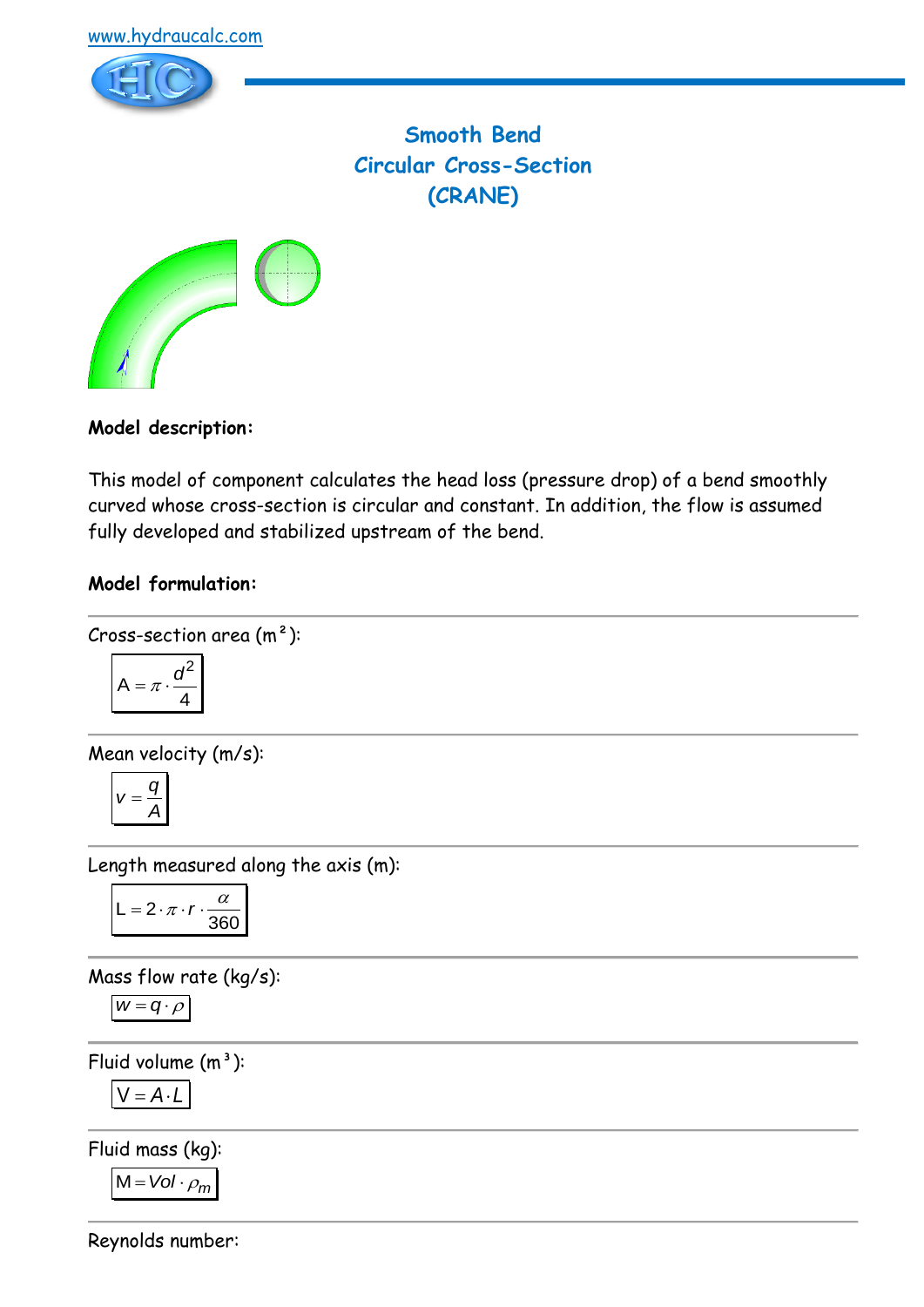



**Smooth Bend Circular Cross-Section (CRANE)**



## **Model description:**

This model of component calculates the head loss (pressure drop) of a bend smoothly curved whose cross-section is circular and constant. In addition, the flow is assumed fully developed and stabilized upstream of the bend.

### **Model formulation:**

### Cross-section area  $(m<sup>2</sup>)$ :

$$
A = \pi \cdot \frac{d^2}{4}
$$

Mean velocity (m/s):

$$
v=\frac{q}{A}
$$

Length measured along the axis (m):

$$
L = 2 \cdot \pi \cdot r \cdot \frac{\alpha}{360}
$$

Mass flow rate (kg/s):

$$
w=q\cdot \rho
$$

Fluid volume  $(m^3)$ :

$$
V = A \cdot L
$$

Fluid mass (kg):

$$
M = Vol \cdot \rho_m
$$

Reynolds number: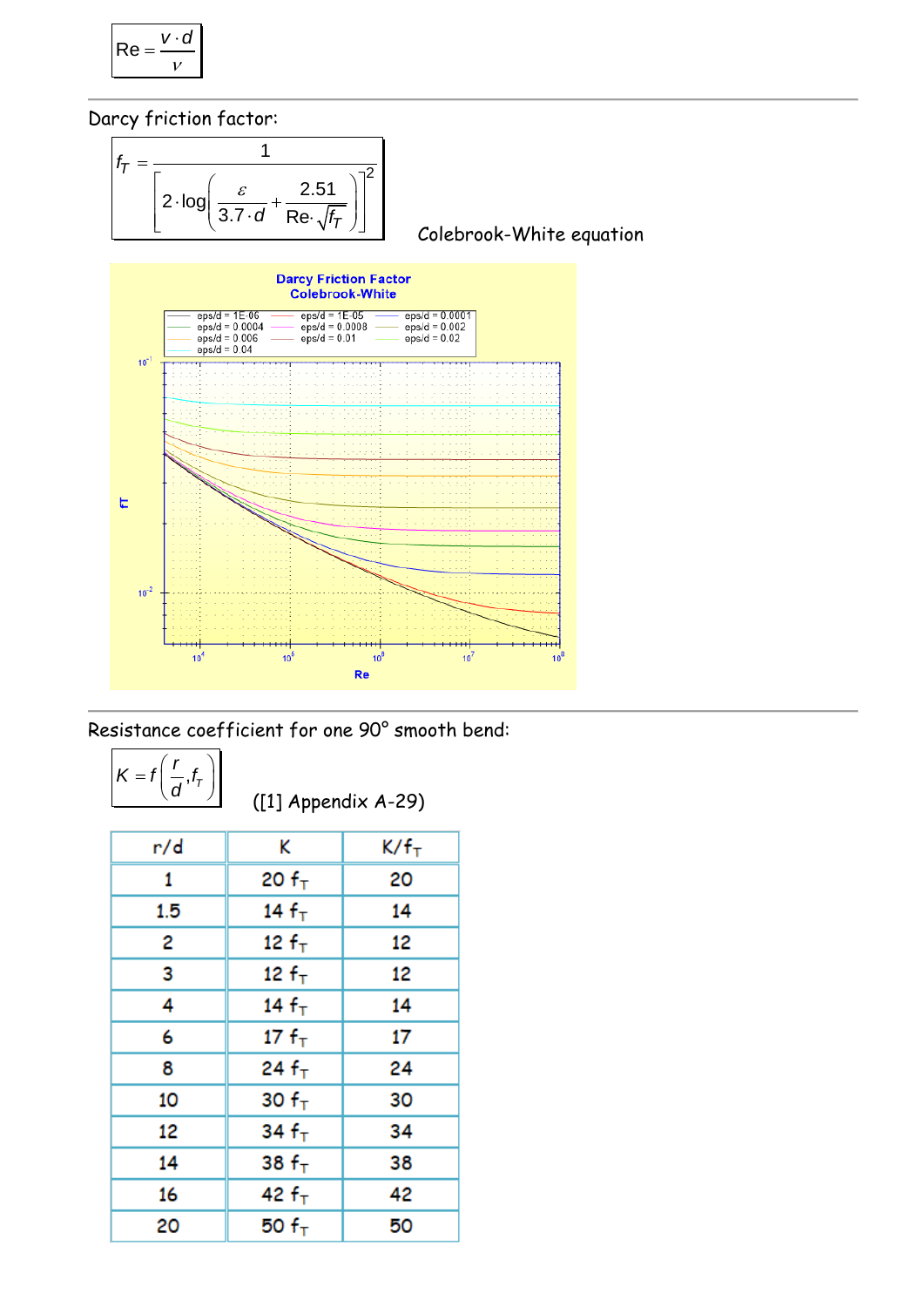$$
\mathsf{Re} = \frac{v \cdot d}{v}
$$

Darcy friction factor:



Resistance coefficient for one 90° smooth bend:

| $=$<br>7 |  |
|----------|--|
|----------|--|

([1] Appendix A-29)

| r/d | K          | K/f <sub>T</sub> |
|-----|------------|------------------|
| 1   | 20 $fT$    | 20               |
| 1.5 | 14 $fT$    | 14               |
| 2   | 12 $f_{T}$ | 12               |
| 3   | 12 $fT$    | 12               |
| 4   | 14 $fT$    | 14               |
| 6   | 17 $fT$    | 17               |
| 8   | 24 $f_T$   | 24               |
| 10  | 30 $fT$    | 30               |
| 12  | 34 $fT$    | 34               |
| 14  | 38 $fT$    | 38               |
| 16  | 42 $fT$    | 42               |
| 20  | 50 $fT$    | 50               |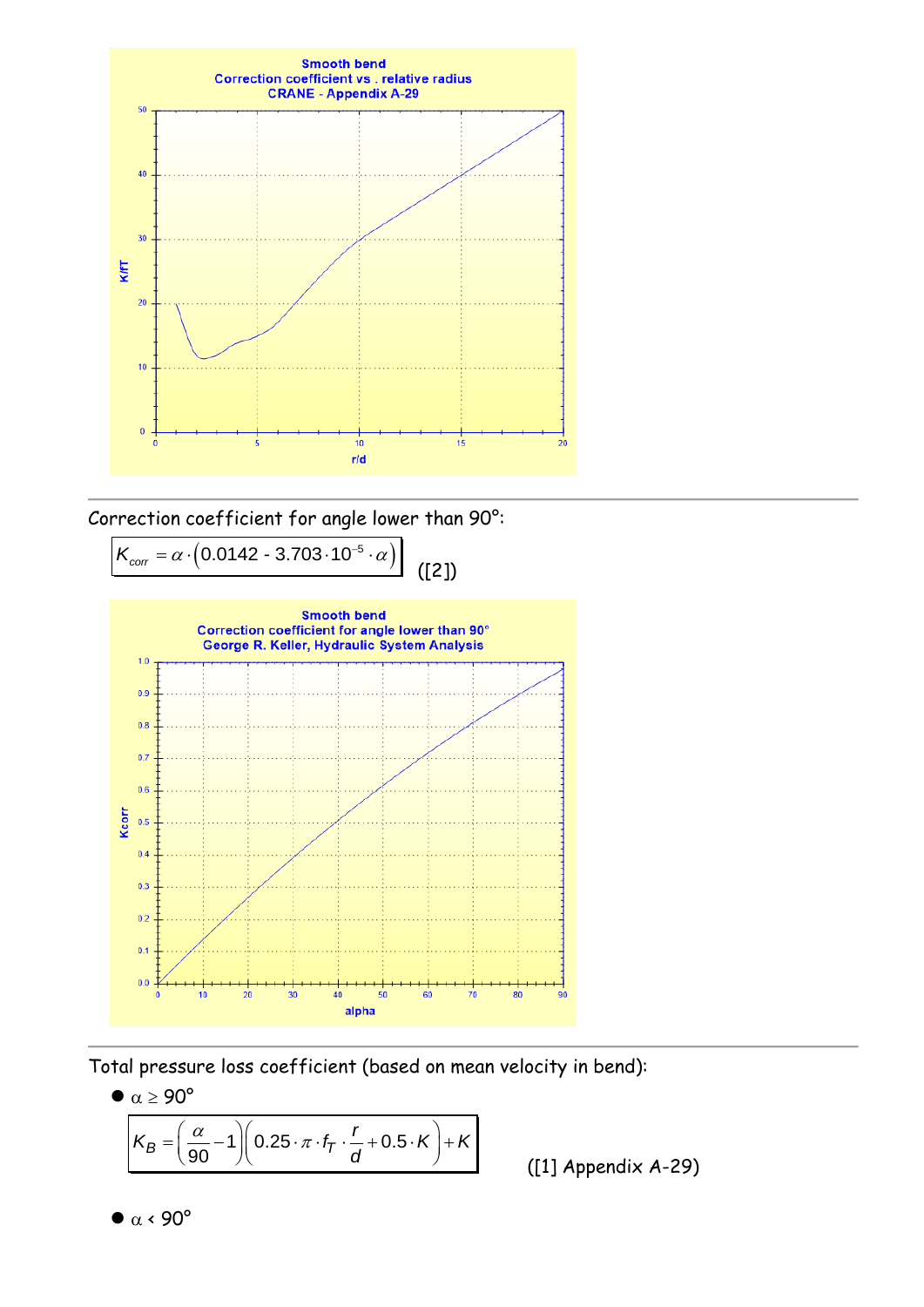

Correction coefficient for angle lower than 90°:



Total pressure loss coefficient (based on mean velocity in bend):

 $\bullet \ \alpha \geq 90^{\circ}$ 

$$
\alpha \ge 90^{\circ}
$$
\n
$$
K_B = \left(\frac{\alpha}{90} - 1\right) \left(0.25 \cdot \pi \cdot f_7 \cdot \frac{r}{d} + 0.5 \cdot K\right) + K
$$

([1] Appendix A-29)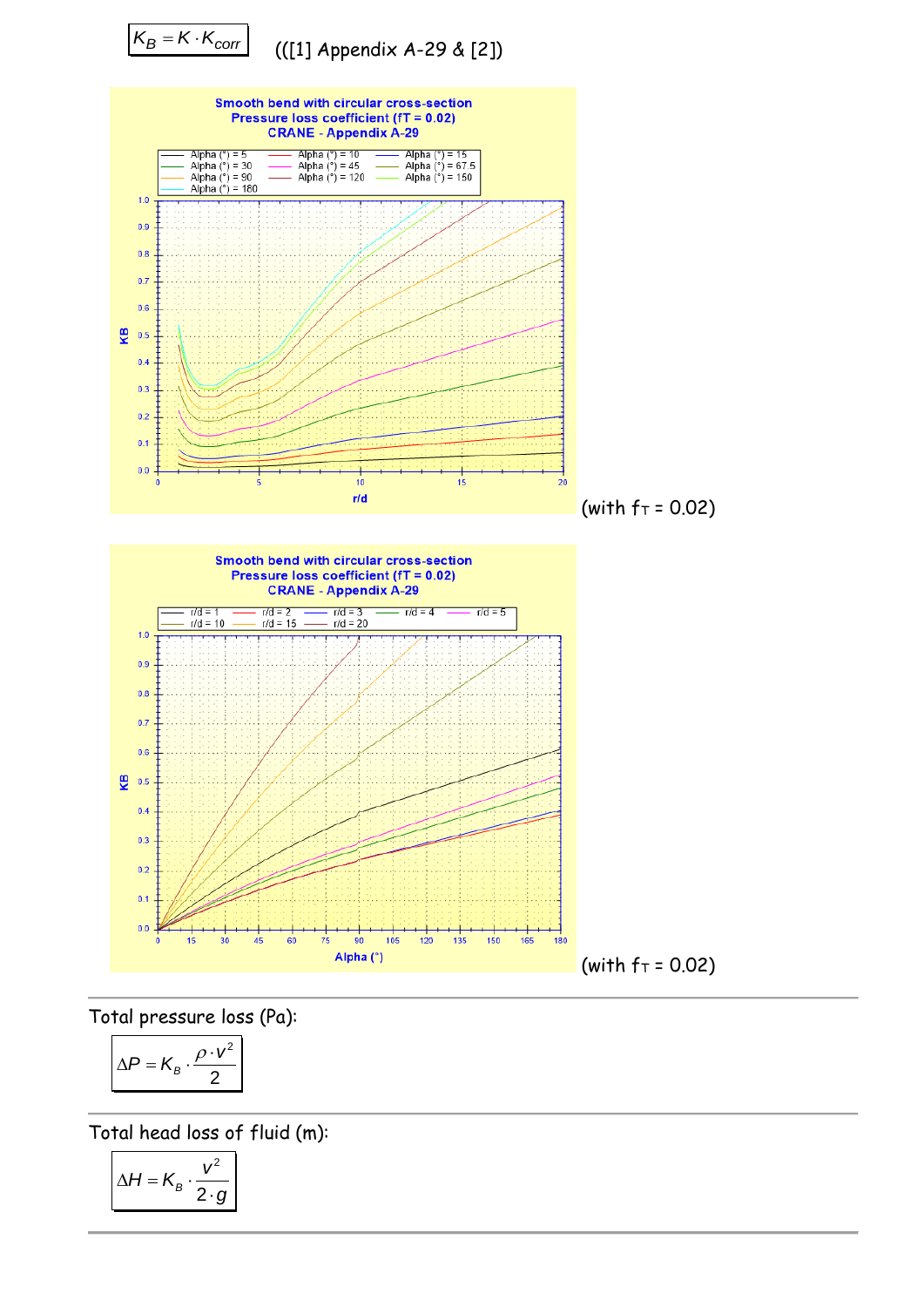

Total pressure loss (Pa):

$$
\Delta P = K_B \cdot \frac{\rho \cdot v^2}{2}
$$

Total head loss of fluid (m):

$$
\Delta H = K_B \cdot \frac{v^2}{2 \cdot g}
$$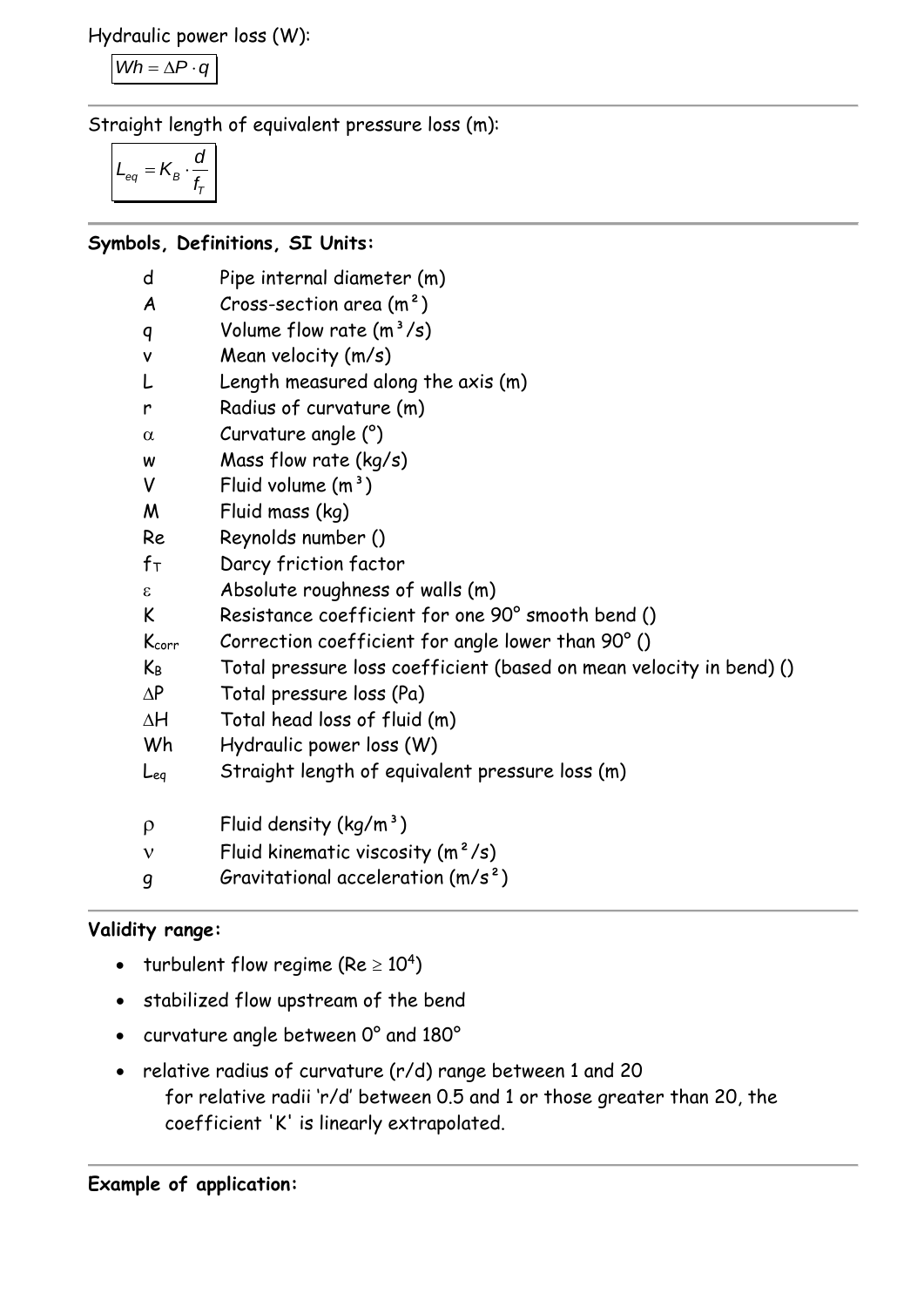Hydraulic power loss (W):

 $Wh = \Delta P \cdot q$ 

Straight length of equivalent pressure loss (m):

$$
L_{eq} = K_B \cdot \frac{d}{f_T}
$$

# **Symbols, Definitions, SI Units:**

| d                | Pipe internal diameter (m)                                          |
|------------------|---------------------------------------------------------------------|
| A                | Cross-section area $(m2)$                                           |
| q                | Volume flow rate $(m^3/s)$                                          |
| $\mathsf{v}$     | Mean velocity (m/s)                                                 |
| L                | Length measured along the axis (m)                                  |
| r                | Radius of curvature (m)                                             |
| $\alpha$         | Curvature angle (°)                                                 |
| W                | Mass flow rate $(kg/s)$                                             |
| V                | Fluid volume $(m^3)$                                                |
| M                | Fluid mass (kg)                                                     |
| Re               | Reynolds number ()                                                  |
| $f_{\mathsf{T}}$ | Darcy friction factor                                               |
| ε                | Absolute roughness of walls (m)                                     |
| K                | Resistance coefficient for one 90° smooth bend ()                   |
| Kcorr            | Correction coefficient for angle lower than 90° ()                  |
| $K_B$            | Total pressure loss coefficient (based on mean velocity in bend) () |
| $\Delta P$       | Total pressure loss (Pa)                                            |
| $\Delta H$       | Total head loss of fluid (m)                                        |
| Wh               | Hydraulic power loss (W)                                            |
| Leg              | Straight length of equivalent pressure loss (m)                     |
| $\rho$           | Fluid density $(kg/m^3)$                                            |
| $\mathbf v$      | Fluid kinematic viscosity $(m^2/s)$                                 |
| 9                | Gravitational acceleration $(m/s^2)$                                |

# **Validity range:**

- turbulent flow regime (Re  $\geq 10^4$ )
- stabilized flow upstream of the bend
- curvature angle between 0° and 180°
- relative radius of curvature (r/d) range between 1 and 20 for relative radii 'r/d' between 0.5 and 1 or those greater than 20, the coefficient 'K' is linearly extrapolated.